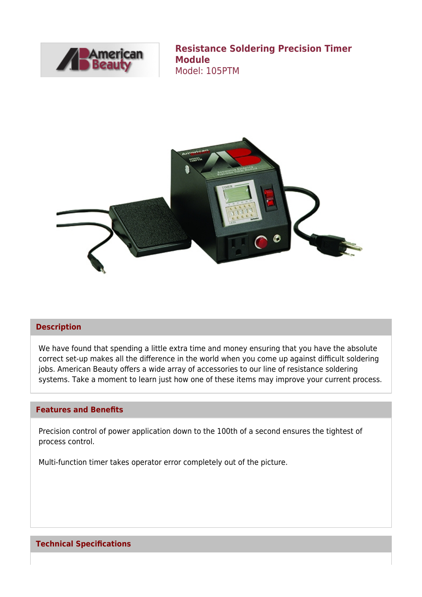

**Resistance Soldering Precision Timer Module** Model: 105PTM



### **Description**

We have found that spending a little extra time and money ensuring that you have the absolute correct set-up makes all the difference in the world when you come up against difficult soldering jobs. American Beauty offers a wide array of accessories to our line of resistance soldering systems. Take a moment to learn just how one of these items may improve your current process.

### **Features and Benefits**

Precision control of power application down to the 100th of a second ensures the tightest of process control.

Multi-function timer takes operator error completely out of the picture.

## **Technical Specifications**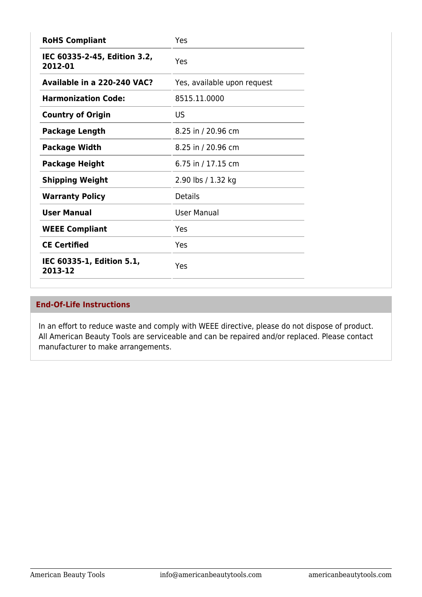| <b>RoHS Compliant</b>                   | Yes                         |
|-----------------------------------------|-----------------------------|
| IEC 60335-2-45, Edition 3.2,<br>2012-01 | Yes                         |
| Available in a 220-240 VAC?             | Yes, available upon request |
| <b>Harmonization Code:</b>              | 8515.11.0000                |
| <b>Country of Origin</b>                | US                          |
| <b>Package Length</b>                   | 8.25 in / 20.96 cm          |
| <b>Package Width</b>                    | 8.25 in / 20.96 cm          |
| <b>Package Height</b>                   | 6.75 in / 17.15 cm          |
| <b>Shipping Weight</b>                  | 2.90 lbs / 1.32 kg          |
| <b>Warranty Policy</b>                  | <b>Details</b>              |
| <b>User Manual</b>                      | <b>User Manual</b>          |
| <b>WEEE Compliant</b>                   | Yes                         |
| <b>CE Certified</b>                     | Yes                         |
| IEC 60335-1, Edition 5.1,<br>2013-12    | Yes                         |

## **End-Of-Life Instructions**

In an effort to reduce waste and comply with WEEE directive, please do not dispose of product. All American Beauty Tools are serviceable and can be repaired and/or replaced. Please contact manufacturer to make arrangements.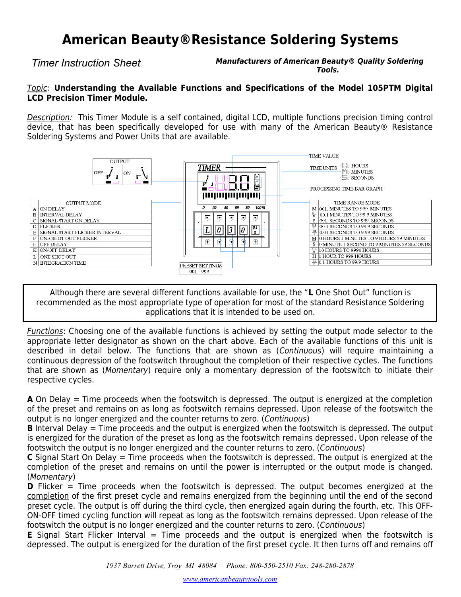# **American Beauty®Resistance Soldering Systems**

*Timer Instruction Sheet* **Manufacturers of American Beauty® Quality Soldering Tools.**

### Topic: **Understanding the Available Functions and Specifications of the Model 105PTM Digital LCD Precision Timer Module.**

Description: This Timer Module is a self contained, digital LCD, multiple functions precision timing control device, that has been specifically developed for use with many of the American Beauty® Resistance Soldering Systems and Power Units that are available.



Although there are several different functions available for use, the "**L** One Shot Out" function is recommended as the most appropriate type of operation for most of the standard Resistance Soldering applications that it is intended to be used on.

**Functions:** Choosing one of the available functions is achieved by setting the output mode selector to the appropriate letter designator as shown on the chart above. Each of the available functions of this unit is described in detail below. The functions that are shown as (Continuous) will require maintaining a continuous depression of the footswitch throughout the completion of their respective cycles. The functions that are shown as (Momentary) require only a momentary depression of the footswitch to initiate their respective cycles.

**A** On Delay = Time proceeds when the footswitch is depressed. The output is energized at the completion of the preset and remains on as long as footswitch remains depressed. Upon release of the footswitch the output is no longer energized and the counter returns to zero. (Continuous)

**B** Interval Delay = Time proceeds and the output is energized when the footswitch is depressed. The output is energized for the duration of the preset as long as the footswitch remains depressed. Upon release of the footswitch the output is no longer energized and the counter returns to zero. (Continuous)

**C** Signal Start On Delay = Time proceeds when the footswitch is depressed. The output is energized at the completion of the preset and remains on until the power is interrupted or the output mode is changed. (Momentary)

**D** Flicker = Time proceeds when the footswitch is depressed. The output becomes energized at the completion of the first preset cycle and remains energized from the beginning until the end of the second preset cycle. The output is off during the third cycle, then energized again during the fourth, etc. This OFF-ON-OFF timed cycling function will repeat as long as the footswitch remains depressed. Upon release of the footswitch the output is no longer energized and the counter returns to zero. (Continuous)

**E** Signal Start Flicker Interval = Time proceeds and the output is energized when the footswitch is depressed. The output is energized for the duration of the first preset cycle. It then turns off and remains off